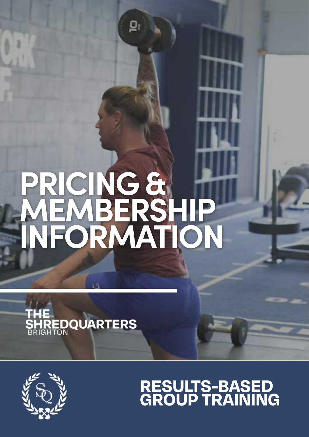# **PRICING & MEMBERSHIP INFORMATION**

 $\mathbf{Q}_i$ 





# **RESULTS-BASED<br>GROUP TRAINING**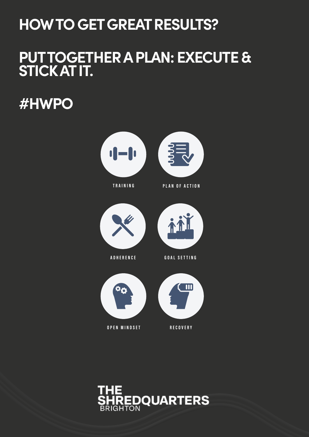## **HOW TO GET GREAT RESULTS?**

## **PUT TOGETHER A PLAN: EXECUTE & STICK AT IT.**

**#HWPO**